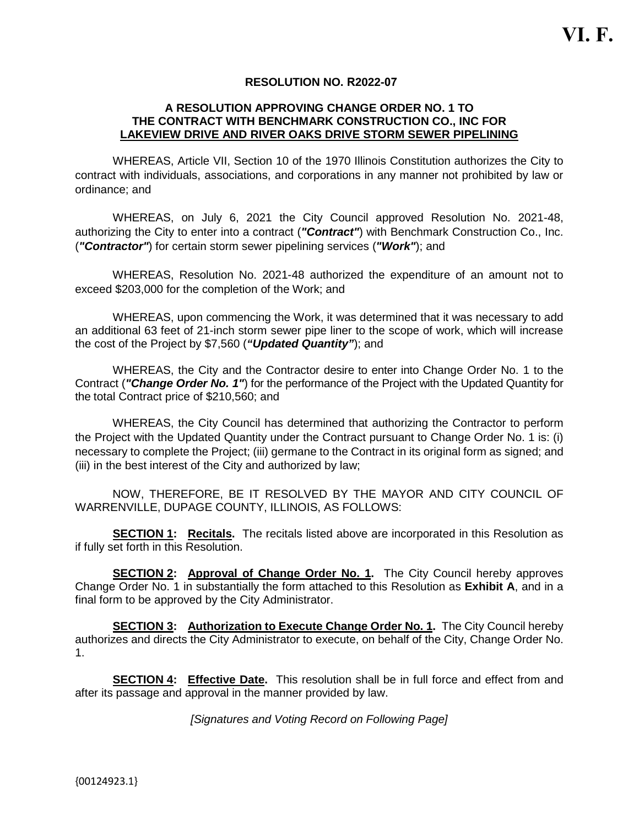### **RESOLUTION NO. R2022-07**

### **A RESOLUTION APPROVING CHANGE ORDER NO. 1 TO THE CONTRACT WITH BENCHMARK CONSTRUCTION CO., INC FOR LAKEVIEW DRIVE AND RIVER OAKS DRIVE STORM SEWER PIPELINING**

WHEREAS, Article VII, Section 10 of the 1970 Illinois Constitution authorizes the City to contract with individuals, associations, and corporations in any manner not prohibited by law or ordinance; and

WHEREAS, on July 6, 2021 the City Council approved Resolution No. 2021-48, authorizing the City to enter into a contract (*"Contract"*) with Benchmark Construction Co., Inc. (*"Contractor"*) for certain storm sewer pipelining services (*"Work"*); and

WHEREAS, Resolution No. 2021-48 authorized the expenditure of an amount not to exceed \$203,000 for the completion of the Work; and

WHEREAS, upon commencing the Work, it was determined that it was necessary to add an additional 63 feet of 21-inch storm sewer pipe liner to the scope of work, which will increase the cost of the Project by \$7,560 (*"Updated Quantity"*); and

WHEREAS, the City and the Contractor desire to enter into Change Order No. 1 to the Contract (*"Change Order No. 1"*) for the performance of the Project with the Updated Quantity for the total Contract price of \$210,560; and

WHEREAS, the City Council has determined that authorizing the Contractor to perform the Project with the Updated Quantity under the Contract pursuant to Change Order No. 1 is: (i) necessary to complete the Project; (iii) germane to the Contract in its original form as signed; and (iii) in the best interest of the City and authorized by law;

NOW, THEREFORE, BE IT RESOLVED BY THE MAYOR AND CITY COUNCIL OF WARRENVILLE, DUPAGE COUNTY, ILLINOIS, AS FOLLOWS:

**SECTION 1: Recitals.** The recitals listed above are incorporated in this Resolution as if fully set forth in this Resolution.

**SECTION 2:** Approval of Change Order No. 1. The City Council hereby approves Change Order No. 1 in substantially the form attached to this Resolution as **Exhibit A**, and in a final form to be approved by the City Administrator.

**SECTION 3: Authorization to Execute Change Order No. 1.** The City Council hereby authorizes and directs the City Administrator to execute, on behalf of the City, Change Order No. 1.

**SECTION 4: Effective Date.** This resolution shall be in full force and effect from and after its passage and approval in the manner provided by law.

*[Signatures and Voting Record on Following Page]*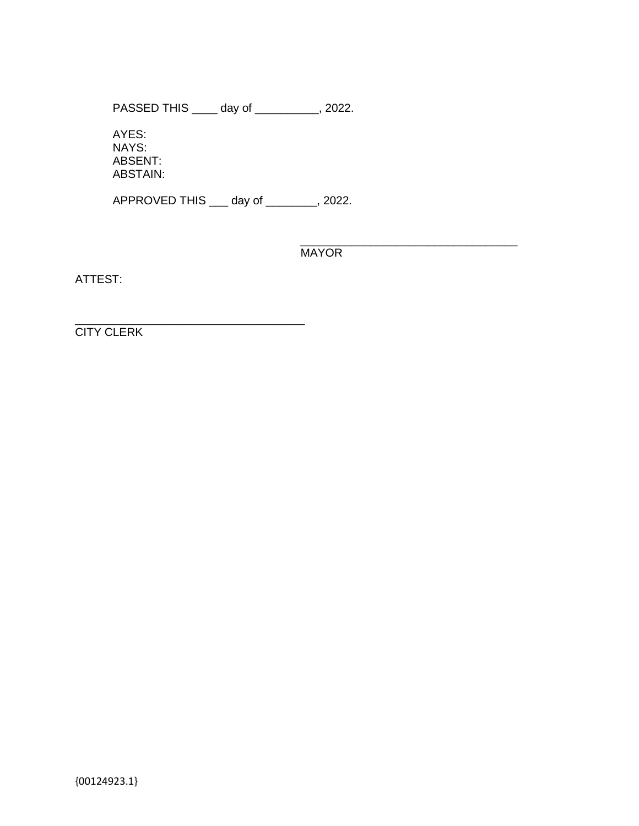PASSED THIS \_\_\_\_ day of \_\_\_\_\_\_\_\_\_\_, 2022.

AYES: NAYS: ABSENT: ABSTAIN:

APPROVED THIS \_\_\_ day of \_\_\_\_\_\_\_\_, 2022.

\_\_\_\_\_\_\_\_\_\_\_\_\_\_\_\_\_\_\_\_\_\_\_\_\_\_\_\_\_\_\_\_\_\_ **MAYOR** 

ATTEST:

\_\_\_\_\_\_\_\_\_\_\_\_\_\_\_\_\_\_\_\_\_\_\_\_\_\_\_\_\_\_\_\_\_\_\_\_ CITY CLERK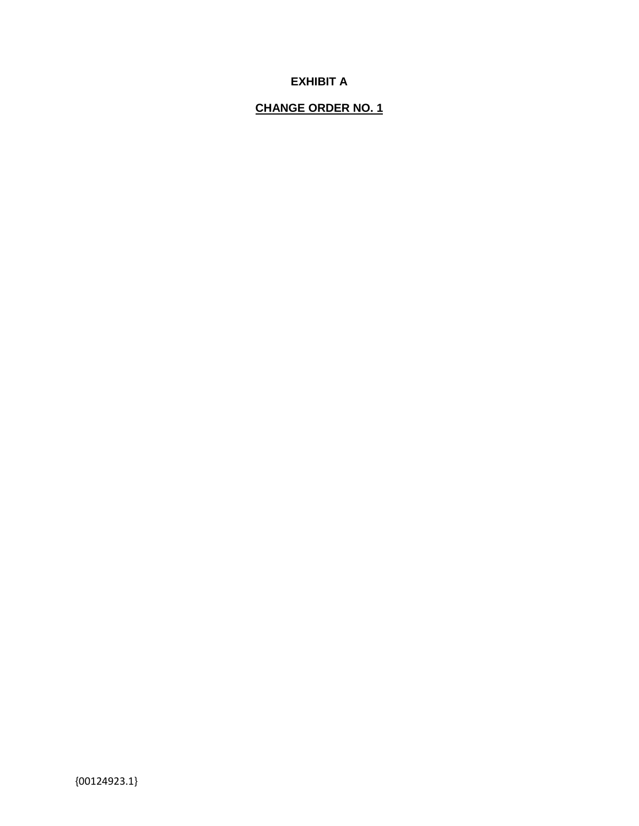# **EXHIBIT A**

## **CHANGE ORDER NO. 1**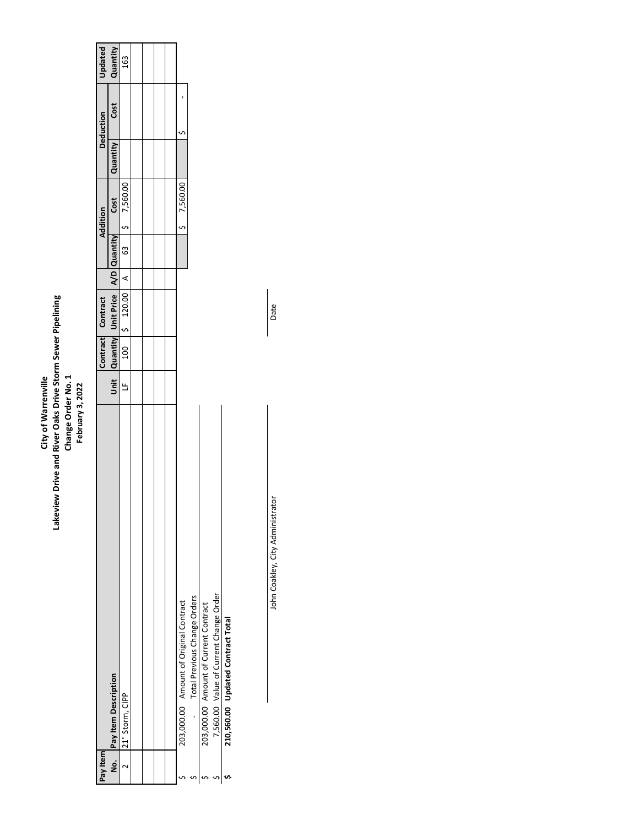# City of Warrenville<br>Lakeview Drive and River Oaks Drive Storm Sewer Pipelining<br>Change Order No. 1<br>February 3, 2022 **Lakeview Drive and River Oaks Drive Storm Sewer Pipelining Change Order No. 1 City of Warrenville February 3, 2022**

| Pay Item |                                        |   | Contract Contract                       |                 |    | <b>Addition</b> |                 | <b>Deduction</b> | Updated  |
|----------|----------------------------------------|---|-----------------------------------------|-----------------|----|-----------------|-----------------|------------------|----------|
|          | No. Pay Item Description               |   | Unit Quantity Unit Price   A/D Quantity |                 |    | Cost            | <b>Quantity</b> | Cost             | Quantity |
|          | 21" Storm, CIPP                        | Ľ | 100   5 120.00                          | $\triangleleft$ | 63 | 5 7,560.00      |                 |                  | 163      |
|          |                                        |   |                                         |                 |    |                 |                 |                  |          |
|          |                                        |   |                                         |                 |    |                 |                 |                  |          |
|          |                                        |   |                                         |                 |    |                 |                 |                  |          |
|          |                                        |   |                                         |                 |    |                 |                 |                  |          |
|          | 203,000.00 Amount of Original Contract |   |                                         |                 |    | 57,560.00       |                 |                  |          |
|          | - Total Previous Change Orders         |   |                                         |                 |    |                 |                 |                  |          |
|          | 203,000.00 Amount of Current Contract  |   |                                         |                 |    |                 |                 |                  |          |
|          | 7,560.00 Value of Current Change Order |   |                                         |                 |    |                 |                 |                  |          |
|          | 210,560.00 Updated Contract Total      |   |                                         |                 |    |                 |                 |                  |          |

John Coakley, City Administrator Date John Coakley, City Administrator

Date